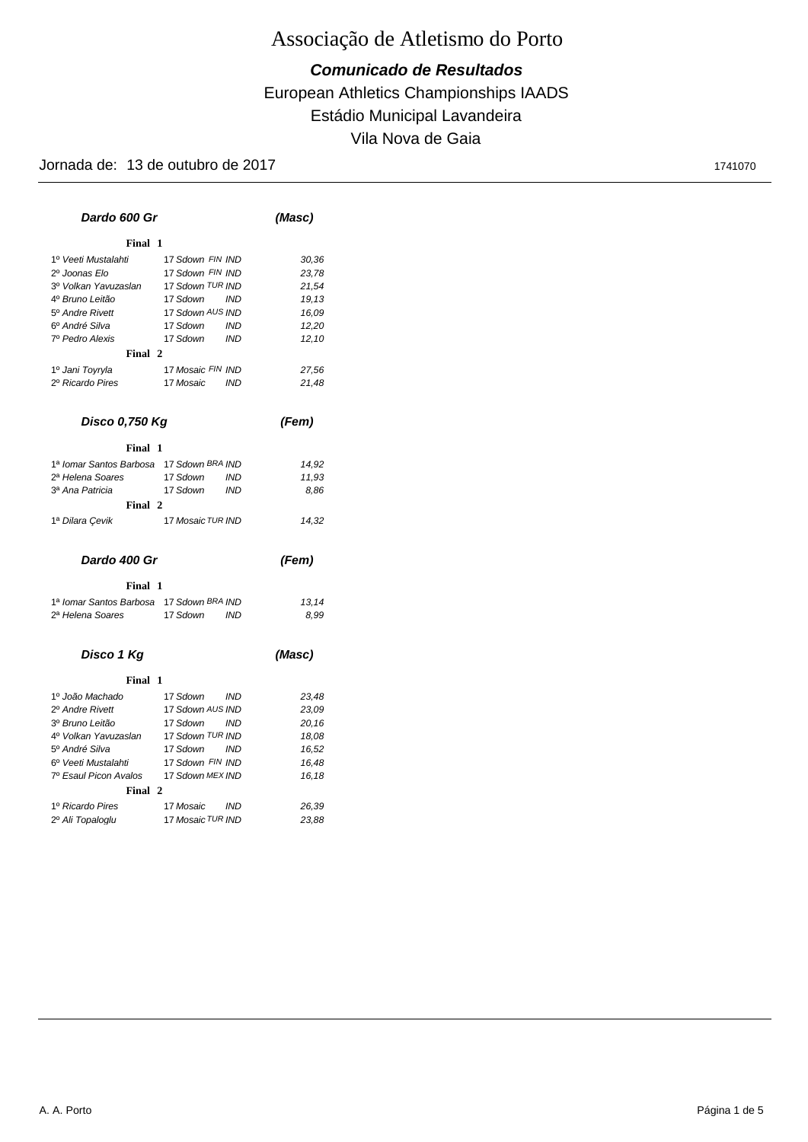### European Athletics Championships IAADS *Comunicado de Resultados* Estádio Municipal Lavandeira Vila Nova de Gaia

| Dardo 600 Gr                             |                             | (Masc)     |        |  |
|------------------------------------------|-----------------------------|------------|--------|--|
| Final 1                                  |                             |            |        |  |
| 1º Veeti Mustalahti                      | 17 Sdown FIN IND            |            | 30,36  |  |
| 2º Joonas Elo                            | 17 Sdown FIN IND            |            | 23,78  |  |
| 3º Volkan Yavuzaslan                     | 17 Sdown <sup>TUR</sup> IND |            | 21,54  |  |
| 4º Bruno Leitão                          | 17 Sdown                    | <b>IND</b> | 19,13  |  |
| 5 <sup>°</sup> Andre Rivett              | 17 Sdown AUS IND            |            | 16,09  |  |
| 6º André Silva                           | 17 Sdown                    | IND        | 12,20  |  |
| 7º Pedro Alexis                          | 17 Sdown                    | <b>IND</b> | 12,10  |  |
| Final 2                                  |                             |            |        |  |
| 1º Jani Toyryla                          | 17 Mosaic FIN IND           |            | 27,56  |  |
| 2º Ricardo Pires                         | 17 Mosaic                   | <b>IND</b> | 21,48  |  |
| Disco 0,750 Kg                           |                             |            | (Fem)  |  |
|                                          |                             |            |        |  |
| Final 1                                  |                             |            |        |  |
| 1ª Iomar Santos Barbosa 17 Sdown BRA IND |                             |            | 14,92  |  |
| 2ª Helena Soares                         | 17 Sdown                    | <b>IND</b> | 11,93  |  |
| 3ª Ana Patricia                          | 17 Sdown                    | <b>IND</b> | 8.86   |  |
| Final 2                                  |                             |            |        |  |
| 1ª Dilara Cevik                          | 17 Mosaic TUR IND           |            | 14,32  |  |
| Dardo 400 Gr                             |                             |            | (Fem)  |  |
| Final 1                                  |                             |            |        |  |
| 1ª Iomar Santos Barbosa 17 Sdown BRA IND |                             |            | 13,14  |  |
| 2ª Helena Soares                         | 17 Sdown                    | <b>IND</b> | 8.99   |  |
| Disco 1 Kg                               |                             |            | (Masc) |  |
| Final 1                                  |                             |            |        |  |
| 1º João Machado                          | 17 Sdown                    | <b>IND</b> | 23,48  |  |
| 2º Andre Rivett                          | 17 Sdown AUS IND            |            | 23,09  |  |
| 3º Bruno Leitão                          | 17 Sdown                    | <b>IND</b> | 20, 16 |  |
| 4º Volkan Yavuzaslan                     | 17 Sdown TUR IND            |            | 18,08  |  |
| 5º André Silva                           | 17 Sdown                    | <b>IND</b> | 16,52  |  |
| 6º Veeti Mustalahti                      | 17 Sdown FIN IND            |            | 16,48  |  |
| 7º Esaul Picon Avalos                    | 17 Sdown MEX IND            |            | 16,18  |  |
| Final 2                                  |                             |            |        |  |
| 1º Ricardo Pires                         | 17 Mosaic IND               |            | 26,39  |  |
| 2º Ali Topaloglu                         | 17 Mosaic TUR IND           |            | 23,88  |  |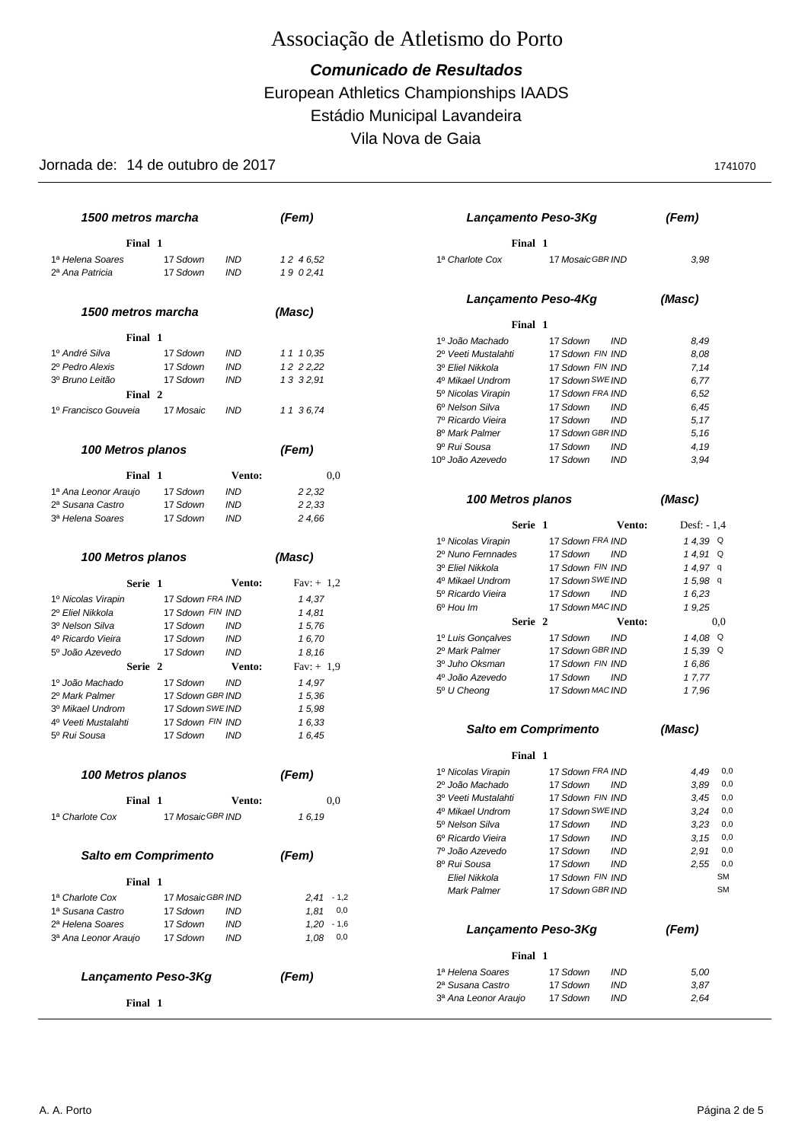European Athletics Championships IAADS *Comunicado de Resultados* Estádio Municipal Lavandeira Vila Nova de Gaia

|                                                  | 1500 metros marcha<br>(Fem) |                          | Lançamento Peso-3Kg | (Fem)                                    |                                                  |              |
|--------------------------------------------------|-----------------------------|--------------------------|---------------------|------------------------------------------|--------------------------------------------------|--------------|
| Final 1                                          |                             |                          |                     | Final 1                                  |                                                  |              |
| 1ª Helena Soares                                 | 17 Sdown                    | <b>IND</b>               | 12 46,52            | 1ª Charlote Cox                          | 17 Mosaic GBR IND                                | 3,98         |
| 2ª Ana Patricia                                  | 17 Sdown                    | <b>IND</b>               | 19 02,41            |                                          |                                                  |              |
|                                                  |                             |                          |                     |                                          | Lançamento Peso-4Kg                              | (Masc)       |
| 1500 metros marcha                               |                             |                          | (Masc)              | Final 1                                  |                                                  |              |
| Final 1                                          |                             |                          |                     | 1º João Machado                          | 17 Sdown<br><b>IND</b>                           | 8,49         |
| 1º André Silva                                   | 17 Sdown                    | <b>IND</b>               | 11 10,35            | 2º Veeti Mustalahti                      | 17 Sdown FIN IND                                 | 8,08         |
| 2º Pedro Alexis                                  | 17 Sdown                    | <b>IND</b>               | 12 2 2,22           | 3º Eliel Nikkola                         | 17 Sdown FIN IND                                 | 7,14         |
| 3º Bruno Leitão                                  | 17 Sdown                    | <b>IND</b>               | 13 32,91            | 4º Mikael Undrom                         | 17 Sdown SWE IND                                 | 6,77         |
| Final 2                                          |                             |                          |                     | 5º Nicolas Virapin                       | 17 Sdown FRA IND                                 | 6,52         |
| 1º Francisco Gouveia                             | 17 Mosaic                   | <b>IND</b>               | 11 36,74            | 6º Nelson Silva                          | 17 Sdown<br><b>IND</b>                           | 6,45         |
|                                                  |                             |                          |                     | 7º Ricardo Vieira                        | <b>IND</b><br>17 Sdown                           | 5,17         |
|                                                  |                             |                          |                     | 8º Mark Palmer                           | 17 Sdown GBR IND                                 | 5,16         |
| 100 Metros planos                                |                             |                          | (Fem)               | 9º Rui Sousa                             | 17 Sdown<br><b>IND</b>                           | 4,19         |
|                                                  |                             |                          |                     | 10º João Azevedo                         | 17 Sdown<br><b>IND</b>                           | 3,94         |
| Final 1                                          |                             | <b>Vento:</b>            | 0,0                 |                                          |                                                  |              |
|                                                  |                             |                          |                     |                                          |                                                  |              |
| 1ª Ana Leonor Araujo                             | 17 Sdown<br>17 Sdown        | <b>IND</b>               | 2 2,32              | 100 Metros planos                        |                                                  | (Masc)       |
| 2ª Susana Castro<br>3ª Helena Soares             | 17 Sdown                    | <b>IND</b><br><b>IND</b> | 2 2,33              |                                          |                                                  |              |
|                                                  |                             |                          | 24,66               | Serie 1                                  | Vento:                                           | Desf: $-1,4$ |
|                                                  |                             |                          |                     | 1º Nicolas Virapin                       | 17 Sdown FRA IND                                 | 14,39 Q      |
| 100 Metros planos                                |                             |                          | (Masc)              | 2º Nuno Fernnades                        | 17 Sdown<br><b>IND</b>                           | $14.91$ Q    |
|                                                  |                             |                          |                     | 3º Eliel Nikkola                         | 17 Sdown FIN IND                                 | $14,97$ q    |
| Serie 1                                          |                             | <b>Vento:</b>            | Fav: $+1,2$         | 4º Mikael Undrom                         | 17 Sdown SWE IND                                 | $15,98$ q    |
|                                                  |                             |                          |                     | 5º Ricardo Vieira                        | 17 Sdown<br>IND                                  | 16,23        |
| 1º Nicolas Virapin                               | 17 Sdown FRA IND            |                          | 14,37               | 6 <sup>°</sup> Hou Im                    | 17 Sdown MAC IND                                 | 19,25        |
| 2º Eliel Nikkola                                 | 17 Sdown FIN IND            |                          | 14,81               | Serie 2                                  | Vento:                                           | 0.0          |
| 3º Nelson Silva                                  | 17 Sdown                    | IND                      | 15,76               | 1º Luis Gonçalves                        | 17 Sdown<br><b>IND</b>                           | 14.08 Q      |
| 4º Ricardo Vieira<br>5 <sup>°</sup> João Azevedo | 17 Sdown<br>17 Sdown        | <b>IND</b><br><b>IND</b> | 16,70               | 2º Mark Palmer                           | 17 Sdown GBR IND                                 | $15,39$ Q    |
|                                                  |                             |                          | 18,16               | 3º Juho Oksman                           | 17 Sdown FIN IND                                 | 16,86        |
| Serie 2                                          |                             | Vento:                   | $Fav: + 1,9$        | 4º João Azevedo                          | 17 Sdown<br><b>IND</b>                           | 17,77        |
| 1º João Machado                                  | 17 Sdown                    | <b>IND</b>               | 14,97               | 5 <sup>°</sup> U Cheong                  | 17 Sdown MAC IND                                 | 17,96        |
| 2º Mark Palmer                                   | 17 Sdown GBR IND            |                          | 15,36               |                                          |                                                  |              |
| 3º Mikael Undrom                                 | 17 Sdown SWE IND            |                          | 15,98               |                                          |                                                  |              |
| 4 <sup>°</sup> Veeti Mustalahti                  | 17 Sdown FIN IND            |                          | 16,33               |                                          | Salto em Comprimento                             | (Masc)       |
| 5º Rui Sousa                                     | 17 Sdown                    | <b>IND</b>               | 16,45               |                                          |                                                  |              |
|                                                  |                             |                          |                     | Final 1                                  |                                                  |              |
| 100 Metros planos                                |                             |                          | (Fem)               | 1º Nicolas Virapin                       | 17 Sdown FRA IND                                 | 4,49<br>0,0  |
|                                                  |                             |                          |                     | 2º João Machado                          | 17 Sdown<br><b>IND</b>                           | 0,0<br>3,89  |
| Final 1                                          |                             | <b>Vento:</b>            | $_{0,0}$            | 3º Veeti Mustalahti                      | 17 Sdown FIN IND                                 | 0,0<br>3,45  |
| 1ª Charlote Cox                                  | 17 Mosaic GBR IND           |                          | 16,19               | 4º Mikael Undrom                         | 17 Sdown SWE IND                                 | 3,24<br>0,0  |
|                                                  |                             |                          |                     | 5º Nelson Silva                          | 17 Sdown<br><b>IND</b>                           | 3,23<br>0,0  |
|                                                  |                             |                          |                     | 6º Ricardo Vieira                        | 17 Sdown<br><b>IND</b>                           | 3, 15<br>0,0 |
| Salto em Comprimento                             |                             |                          | (Fem)               | 7º João Azevedo                          | 17 Sdown<br><b>IND</b>                           | 0,0<br>2,91  |
|                                                  |                             |                          |                     | 8º Rui Sousa                             | 17 Sdown<br><b>IND</b>                           | 2,55<br>0,0  |
| Final 1                                          |                             |                          |                     | Eliel Nikkola                            | 17 Sdown FIN IND                                 | SM           |
| 1ª Charlote Cox                                  | 17 Mosaic GBR IND           |                          | $2.41 - 1.2$        | Mark Palmer                              | 17 Sdown GBR IND                                 | <b>SM</b>    |
| 1ª Susana Castro                                 | 17 Sdown                    |                          | $1,81$ 0,0          |                                          |                                                  |              |
| 2ª Helena Soares                                 | 17 Sdown                    | IND<br><b>IND</b>        | $1,20 - 1,6$        |                                          |                                                  |              |
|                                                  | 17 Sdown                    | <b>IND</b>               | $1,08$ 0,0          |                                          | Lançamento Peso-3Kg                              | (Fem)        |
| 3ª Ana Leonor Araujo                             |                             |                          |                     | Final 1                                  |                                                  |              |
|                                                  |                             |                          |                     |                                          |                                                  |              |
|                                                  |                             |                          |                     | 1ª Helena Soares                         | 17 Sdown<br><b>IND</b>                           | 5,00         |
| Lançamento Peso-3Kg                              |                             |                          | (Fem)               |                                          |                                                  |              |
| Final 1                                          |                             |                          |                     | 2ª Susana Castro<br>3ª Ana Leonor Araujo | 17 Sdown<br><b>IND</b><br>17 Sdown<br><b>IND</b> | 3,87<br>2,64 |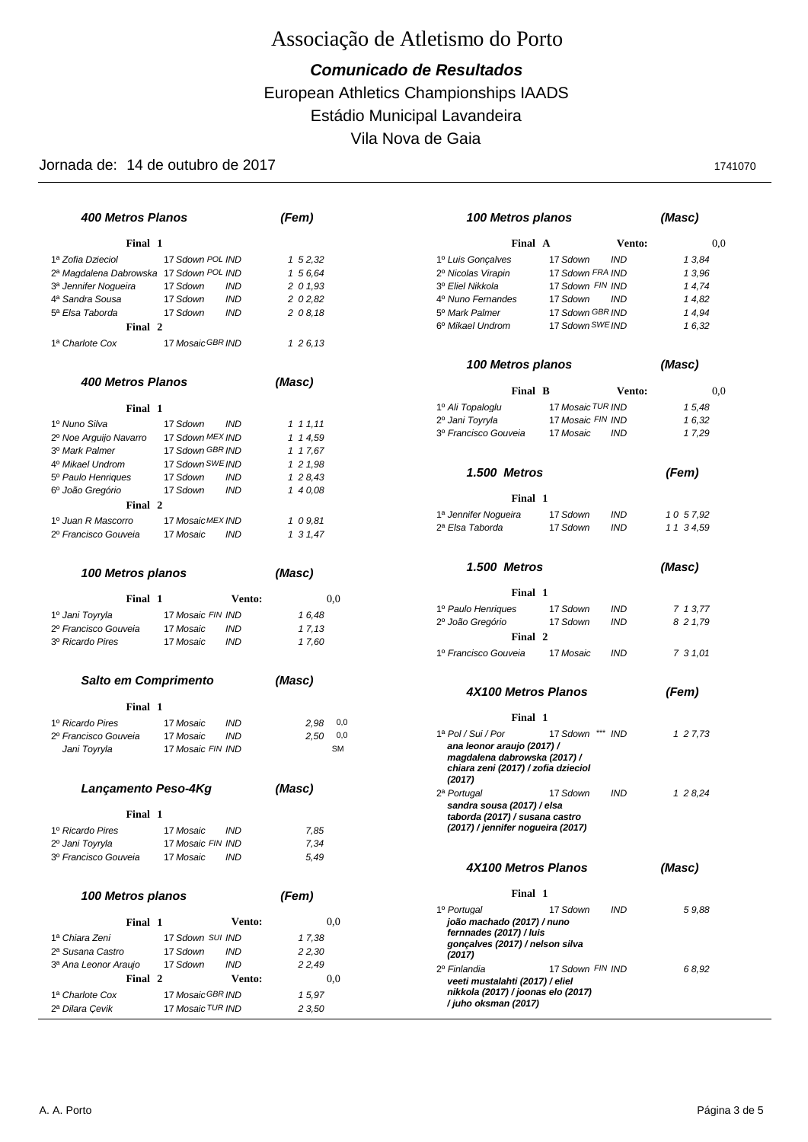### European Athletics Championships IAADS *Comunicado de Resultados* Estádio Municipal Lavandeira Vila Nova de Gaia

| <b>400 Metros Planos</b>                 |                                                    | (Fem)                      | 100 Metros planos                                                                                           |                         | (Masc)               |
|------------------------------------------|----------------------------------------------------|----------------------------|-------------------------------------------------------------------------------------------------------------|-------------------------|----------------------|
| Final 1                                  |                                                    |                            | Final A                                                                                                     |                         | <b>Vento:</b><br>0,0 |
| 1ª Zofia Dzieciol                        | 17 Sdown POL IND                                   | $1\,52,32$                 | 1º Luis Gonçalves                                                                                           | 17 Sdown<br><b>IND</b>  | 13,84                |
| 2ª Magdalena Dabrowska 17 Sdown POL IND  |                                                    | 1 5 6.64                   | 2º Nicolas Virapin                                                                                          | 17 Sdown FRA IND        | 13,96                |
| 3ª Jennifer Noqueira                     | 17 Sdown<br><b>IND</b>                             | 2 0 1,93                   | 3º Eliel Nikkola                                                                                            | 17 Sdown FIN IND        | 14,74                |
| 4ª Sandra Sousa                          | <b>IND</b><br>17 Sdown                             | 2 0 2.82                   | 4º Nuno Fernandes                                                                                           | 17 Sdown<br><b>IND</b>  | 14,82                |
| 5ª Elsa Taborda                          | 17 Sdown<br><b>IND</b>                             | 208,18                     | 5 <sup>°</sup> Mark Palmer                                                                                  | 17 Sdown GBR IND        | 14,94                |
| Final 2                                  |                                                    |                            | 6 <sup>°</sup> Mikael Undrom                                                                                | 17 Sdown SWE IND        | 16,32                |
|                                          |                                                    |                            |                                                                                                             |                         |                      |
| 1ª Charlote Cox                          | 17 Mosaic GBR IND                                  | 1 2 6, 13                  |                                                                                                             |                         |                      |
| <b>400 Metros Planos</b>                 |                                                    | (Masc)                     | 100 Metros planos                                                                                           |                         | (Masc)               |
|                                          |                                                    |                            | Final B                                                                                                     |                         | 0,0<br>Vento:        |
| Final 1                                  |                                                    |                            | 1º Ali Topaloglu                                                                                            | 17 Mosaic TUR IND       | 15,48                |
| 1º Nuno Silva                            | 17 Sdown<br><b>IND</b>                             | 1 1 1, 11                  | 2º Jani Toyryla                                                                                             | 17 Mosaic FIN IND       | 16,32                |
| 2º Noe Arguijo Navarro                   | 17 Sdown MEX IND                                   | 1 1 4.59                   | 3º Francisco Gouveia                                                                                        | 17 Mosaic<br><b>IND</b> | 17,29                |
| 3º Mark Palmer                           | 17 Sdown GBR IND                                   | 1 1 7,67                   |                                                                                                             |                         |                      |
| 4º Mikael Undrom                         | 17 Sdown SWE IND                                   | 121,98                     |                                                                                                             |                         |                      |
| 5º Paulo Henriques                       | 17 Sdown<br><b>IND</b>                             | 128,43                     | 1.500 Metros                                                                                                |                         | (Fem)                |
| 6º João Gregório                         | 17 Sdown<br><b>IND</b>                             | 140,08                     |                                                                                                             |                         |                      |
| Final 2                                  |                                                    |                            | Final 1                                                                                                     |                         |                      |
| 1º Juan R Mascorro                       |                                                    |                            | 1ª Jennifer Noqueira                                                                                        | 17 Sdown<br><b>IND</b>  | 10 57.92             |
| 2º Francisco Gouveia                     | 17 MosaicMEX IND<br>17 Mosaic<br><b>IND</b>        | 109.81                     | 2ª Elsa Taborda                                                                                             | 17 Sdown<br><b>IND</b>  | 1 1 3 4,59           |
|                                          |                                                    | 1 3 1,47                   |                                                                                                             |                         |                      |
| 100 Metros planos                        |                                                    | (Masc)                     | 1.500 Metros                                                                                                |                         | (Masc)               |
| Final 1                                  | Vento:                                             | 0,0                        | Final 1                                                                                                     |                         |                      |
|                                          |                                                    |                            | 1º Paulo Henriques                                                                                          | 17 Sdown<br><b>IND</b>  | 7 1 3,77             |
| 1º Jani Toyryla                          | 17 Mosaic FIN IND                                  | 16,48                      | 2º João Gregório                                                                                            | 17 Sdown<br><b>IND</b>  | 8 2 1,79             |
| 2º Francisco Gouveia<br>3º Ricardo Pires | 17 Mosaic<br><b>IND</b><br><b>IND</b><br>17 Mosaic | 17,13                      | Final 2                                                                                                     |                         |                      |
|                                          |                                                    | 17,60                      | 1º Francisco Gouveia                                                                                        | 17 Mosaic<br><b>IND</b> | 7 3 1,01             |
| Salto em Comprimento                     |                                                    | (Masc)                     |                                                                                                             |                         |                      |
| Final 1                                  |                                                    |                            | 4X100 Metros Planos                                                                                         |                         | (Fem)                |
| 1º Ricardo Pires                         |                                                    |                            | Final 1                                                                                                     |                         |                      |
|                                          | 17 Mosaic<br><b>IND</b><br>17 Mosaic<br><b>IND</b> | 2,98<br>0,0<br>2.50<br>0,0 | 1ª Pol / Sui / Por                                                                                          | 17 Sdown *** IND        | 1 2 7,73             |
| 2º Francisco Gouveia<br>Jani Toyryla     | 17 Mosaic FIN IND                                  | <b>SM</b>                  | ana leonor araujo (2017) /<br>magdalena dabrowska (2017) /<br>chiara zeni (2017) / zofia dzieciol<br>(2017) |                         |                      |
| Lancamento Peso-4Kg                      |                                                    | (Masc)                     | 2ª Portugal                                                                                                 | 17 Sdown<br><b>IND</b>  | 1 2 8,24             |
| Final 1                                  |                                                    |                            | sandra sousa (2017) / elsa<br>taborda (2017) / susana castro                                                |                         |                      |
| 1º Ricardo Pires                         | <b>IND</b><br>17 Mosaic                            | 7,85                       | (2017) / jennifer nogueira (2017)                                                                           |                         |                      |
| 2º Jani Toyryla                          | 17 Mosaic FIN IND                                  | 7,34                       |                                                                                                             |                         |                      |
| 3º Francisco Gouveia                     | 17 Mosaic<br><b>IND</b>                            | 5,49                       |                                                                                                             |                         |                      |
|                                          |                                                    |                            | 4X100 Metros Planos                                                                                         |                         | (Masc)               |
| 100 Metros planos                        |                                                    | (Fem)                      | Final 1                                                                                                     |                         |                      |
| Final 1                                  | <b>Vento:</b>                                      | 0,0                        | 1º Portugal<br>joão machado (2017) / nuno                                                                   | 17 Sdown<br><b>IND</b>  | 59.88                |
| 1ª Chiara Zeni                           | 17 Sdown SUI IND                                   | 17,38                      | fernnades (2017) / luis                                                                                     |                         |                      |
| 2ª Susana Castro                         | 17 Sdown<br><b>IND</b>                             | 2 2,30                     | gonçalves (2017) / nelson silva                                                                             |                         |                      |
| 3ª Ana Leonor Araujo                     | 17 Sdown<br><b>IND</b>                             | 2 2,49                     | (2017)                                                                                                      |                         |                      |
| Final 2                                  | Vento:                                             | 0,0                        | 2º Finlandia                                                                                                | 17 Sdown FIN IND        | 68,92                |
|                                          |                                                    |                            | veeti mustalahti (2017) / eliel<br>nikkola (2017) / joonas elo (2017)                                       |                         |                      |
| 1ª Charlote Cox                          | 17 Mosaic GBR IND                                  | 15,97                      | / juho oksman (2017)                                                                                        |                         |                      |
| 2ª Dilara Çevik                          | 17 Mosaic TUR IND                                  | 2 3,50                     |                                                                                                             |                         |                      |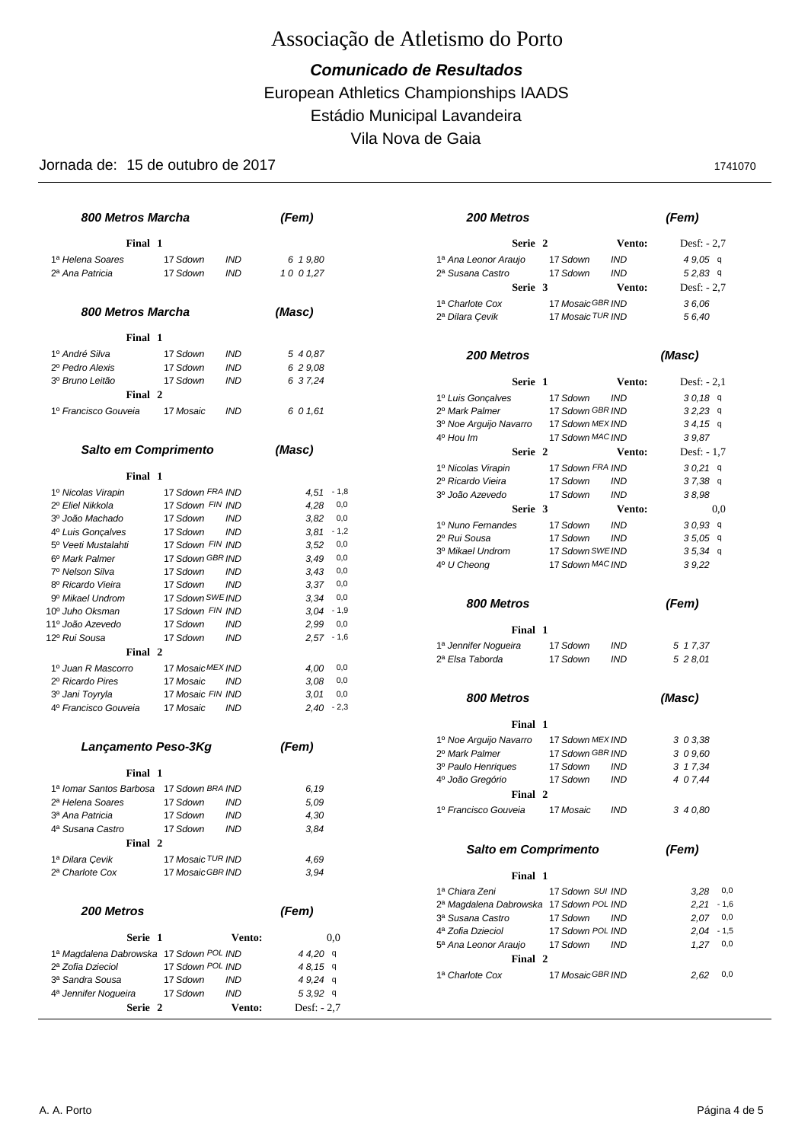### European Athletics Championships IAADS *Comunicado de Resultados* Estádio Municipal Lavandeira Vila Nova de Gaia

| <b>800 Metros Marcha</b>                 |                              |            | (Fem)               | 200 Metros                                |                                            | (Fem)                      |
|------------------------------------------|------------------------------|------------|---------------------|-------------------------------------------|--------------------------------------------|----------------------------|
| Final 1                                  |                              |            |                     | Serie 2                                   | Vento:                                     | Desf: $-2,7$               |
| 1ª Helena Soares                         | 17 Sdown                     | <b>IND</b> | 6 1 9,80            | 1ª Ana Leonor Araujo                      | <b>IND</b><br>17 Sdown                     | $49.05$ q                  |
| 2ª Ana Patricia                          | 17 Sdown                     | <b>IND</b> | 10 0 1,27           | 2ª Susana Castro                          | <b>IND</b><br>17 Sdown                     | $52,83$ q                  |
|                                          |                              |            |                     | Serie 3                                   | Vento:                                     | Desf: $-2,7$               |
|                                          |                              |            |                     | 1ª Charlote Cox                           | 17 Mosaic GBR IND                          | 36.06                      |
| 800 Metros Marcha                        |                              |            | (Masc)              | 2ª Dilara Çevik                           | 17 Mosaic TUR IND                          | 56,40                      |
| Final 1                                  |                              |            |                     |                                           |                                            |                            |
| 1º André Silva                           | 17 Sdown                     | <b>IND</b> | 5 4 0,87            | 200 Metros                                |                                            | (Masc)                     |
| 2º Pedro Alexis                          | 17 Sdown                     | <b>IND</b> | 6 2 9,08            |                                           |                                            |                            |
| 3º Bruno Leitão                          | 17 Sdown                     | <b>IND</b> | 6 3 7,24            | Serie 1                                   | <b>Vento:</b>                              | Desf: $-2.1$               |
| Final 2                                  |                              |            |                     | 1º Luis Gonçalves                         | <b>IND</b><br>17 Sdown                     | 30,189                     |
| 1º Francisco Gouveia                     | 17 Mosaic                    | <b>IND</b> | 6 0 1,61            | 2º Mark Palmer                            | 17 Sdown GBR IND                           | $32,23$ q                  |
|                                          |                              |            |                     | 3º Noe Arquijo Navarro                    | 17 Sdown MEX IND                           | 34,159                     |
|                                          |                              |            |                     | 4 <sup>o</sup> Hou Im                     | 17 Sdown MAC IND                           | 39,87                      |
| Salto em Comprimento                     |                              |            | (Masc)              | Serie 2                                   | Vento:                                     | Desf: $-1,7$               |
|                                          |                              |            |                     | 1º Nicolas Virapin                        | 17 Sdown FRA IND                           | $30,21$ q                  |
| Final 1                                  |                              |            |                     | 2º Ricardo Vieira                         | 17 Sdown<br><b>IND</b>                     | $37,38$ q                  |
| 1º Nicolas Virapin                       | 17 Sdown FRA IND             |            | $4.51 - 1.8$        | 3º João Azevedo                           | 17 Sdown<br><b>IND</b>                     | 38,98                      |
| 2º Eliel Nikkola                         | 17 Sdown FIN IND             |            | 4,28<br>0,0         | Serie 3                                   | Vento:                                     | 0.0                        |
| 3º João Machado                          | 17 Sdown                     | <b>IND</b> | 0,0<br>3,82         | 1º Nuno Fernandes                         | 17 Sdown<br><b>IND</b>                     | $30,93$ q                  |
| 4º Luis Gonçalves                        | 17 Sdown                     | <b>IND</b> | $3,81 - 1,2$        | 2º Rui Sousa                              | 17 Sdown<br><b>IND</b>                     | $35,05$ q                  |
| 5 <sup>°</sup> Veeti Mustalahti          | 17 Sdown FIN IND             |            | 3,52<br>0,0         | 3º Mikael Undrom                          | 17 Sdown SWEIND                            | $35,34$ q                  |
| 6 <sup>°</sup> Mark Palmer               | 17 Sdown GBR IND             |            | 3,49<br>0,0         | 4 <sup>°</sup> U Cheong                   | 17 Sdown MAC IND                           | 39,22                      |
| 7º Nelson Silva                          | 17 Sdown                     | <b>IND</b> | 0,0<br>3,43<br>0,0  |                                           |                                            |                            |
| 8º Ricardo Vieira<br>9º Mikael Undrom    | 17 Sdown<br>17 Sdown SWE IND | <b>IND</b> | 3.37<br>3,34<br>0,0 |                                           |                                            |                            |
| 10 <sup>°</sup> Juho Oksman              | 17 Sdown FIN IND             |            | $3.04 - 1.9$        | 800 Metros                                |                                            | (Fem)                      |
| 11º João Azevedo                         | 17 Sdown                     | <b>IND</b> | 0,0<br>2.99         |                                           |                                            |                            |
| 12º Rui Sousa                            | 17 Sdown                     | <b>IND</b> | $2,57 - 1,6$        | Final 1                                   |                                            |                            |
| Final 2                                  |                              |            |                     | 1ª Jennifer Nogueira                      | 17 Sdown<br><b>IND</b>                     | 5 1 7,37                   |
| 1º Juan R Mascorro                       | 17 MosaicMEX IND             |            | 4.00<br>0,0         | 2ª Elsa Taborda                           | 17 Sdown<br><b>IND</b>                     | 5 2 8,01                   |
| 2º Ricardo Pires                         | 17 Mosaic                    | <b>IND</b> | 3,08<br>0,0         |                                           |                                            |                            |
| 3º Jani Toyryla                          | 17 Mosaic FIN IND            |            | 0,0<br>3,01         |                                           |                                            |                            |
| 4º Francisco Gouveia                     | 17 Mosaic                    | <b>IND</b> | $2,40 - 2,3$        | 800 Metros                                |                                            | (Masc)                     |
|                                          |                              |            |                     | Final 1                                   |                                            |                            |
|                                          |                              |            |                     | 1º Noe Arguijo Navarro                    | 17 Sdown MEX IND                           | 303,38                     |
| Lançamento Peso-3Kg                      |                              |            | (Fem)               | 2º Mark Palmer                            | 17 Sdown GBR IND                           | 3 0 9,60                   |
| Final 1                                  |                              |            |                     | 3º Paulo Henriques                        | 17 Sdown<br>IND                            | 3 1 7,34                   |
| 1ª Iomar Santos Barbosa 17 Sdown BRA IND |                              |            | 6.19                | 4º João Gregório                          | 17 Sdown<br><b>IND</b>                     | 4 0 7,44                   |
| 2ª Helena Soares                         | 17 Sdown                     | IND        | 5,09                | Final 2                                   |                                            |                            |
| 3ª Ana Patricia                          | 17 Sdown                     | IND        | 4,30                | 1º Francisco Gouveia                      | 17 Mosaic<br><b>IND</b>                    | 3 4 0,80                   |
| 4ª Susana Castro                         | 17 Sdown                     | <b>IND</b> | 3,84                |                                           |                                            |                            |
| Final 2                                  |                              |            |                     |                                           |                                            |                            |
| 1ª Dilara Çevik                          | 17 Mosaic TUR IND            |            | 4.69                | Salto em Comprimento                      |                                            | (Fem)                      |
| 2ª Charlote Cox                          | 17 Mosaic GBR IND            |            | 3.94                |                                           |                                            |                            |
|                                          |                              |            |                     | Final 1                                   |                                            |                            |
|                                          |                              |            |                     | 1ª Chiara Zeni                            | 17 Sdown SUI IND                           | $3,28$ 0,0                 |
| 200 Metros                               |                              |            | (Fem)               | 2ª Magdalena Dabrowska 17 Sdown POL IND   |                                            | $2,21 - 1,6$               |
|                                          |                              |            |                     | 3ª Susana Castro                          | 17 Sdown<br><b>IND</b><br>17 Sdown POL IND | $2,07$ 0,0                 |
| Serie 1                                  |                              | Vento:     | $_{0,0}$            | 4ª Zofia Dzieciol<br>5ª Ana Leonor Araujo | 17 Sdown<br><b>IND</b>                     | $2,04 - 1,5$<br>$1,27$ 0,0 |
| 1ª Magdalena Dabrowska 17 Sdown POL IND  |                              |            | $44,20$ q           |                                           |                                            |                            |
| 2ª Zofia Dzieciol                        | 17 Sdown POL IND             |            | 48,159              | Final 2                                   |                                            |                            |
| 3ª Sandra Sousa                          | 17 Sdown                     | IND        | $49,24$ q           | 1ª Charlote Cox                           | 17 Mosaic GBR IND                          | $2,62$ 0,0                 |
| 4 <sup>a</sup> Jennifer Nogueira         | 17 Sdown                     | <b>IND</b> | 53,929              |                                           |                                            |                            |
| Serie 2                                  |                              | Vento:     | Desf: $-2,7$        |                                           |                                            |                            |
|                                          |                              |            |                     |                                           |                                            |                            |